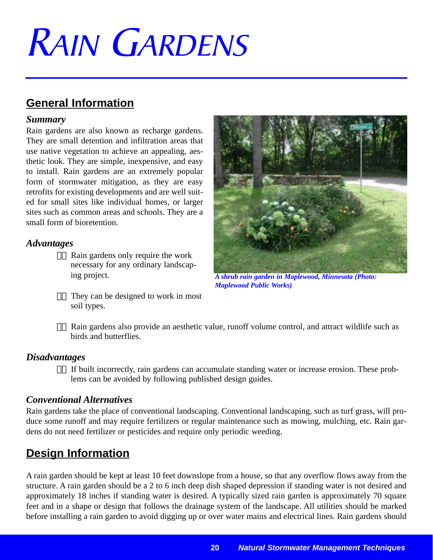# RAIN GARDENS

## **General Information**

#### *Summary*

Rain gardens are also known as recharge gardens. They are small detention and infiltration areas that use native vegetation to achieve an appealing, aesthetic look. They are simple, inexpensive, and easy to install. Rain gardens are an extremely popular form of stormwater mitigation, as they are easy retrofits for existing developments and are well suited for small sites like individual homes, or larger sites such as common areas and schools. They are a small form of bioretention.

#### *Advantages*

- $\alpha$ . Rain gardens only require the work necessary for any ordinary landscaping project.
- $\alpha$ . They can be designed to work in most soil types.



*A shrub rain garden in Maplewood, Minnesota (Photo: Maplewood Public Works)* 

 $\alpha$ . Rain gardens also provide an aesthetic value, runoff volume control, and attract wildlife such as birds and butterflies.

#### *Disadvantages*

 $\alpha$ . If built incorrectly, rain gardens can accumulate standing water or increase erosion. These problems can be avoided by following published design guides.

#### *Conventional Alternatives*

Rain gardens take the place of conventional landscaping. Conventional landscaping, such as turf grass, will produce some runoff and may require fertilizers or regular maintenance such as mowing, mulching, etc. Rain gardens do not need fertilizer or pesticides and require only periodic weeding.

# **Design Information**

A rain garden should be kept at least 10 feet downslope from a house, so that any overflow flows away from the structure. A rain garden should be a 2 to 6 inch deep dish shaped depression if standing water is not desired and approximately 18 inches if standing water is desired. A typically sized rain garden is approximately 70 square feet and in a shape or design that follows the drainage system of the landscape. All utilities should be marked before installing a rain garden to avoid digging up or over water mains and electrical lines. Rain gardens should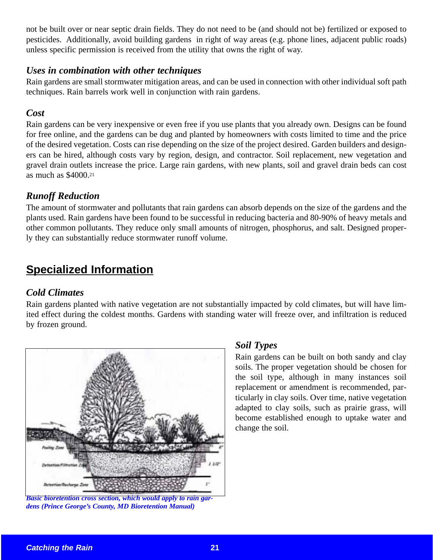not be built over or near septic drain fields. They do not need to be (and should not be) fertilized or exposed to pesticides. Additionally, avoid building gardens in right of way areas (e.g. phone lines, adjacent public roads) unless specific permission is received from the utility that owns the right of way.

#### *Uses in combination with other techniques*

Rain gardens are small stormwater mitigation areas, and can be used in connection with other individual soft path techniques. Rain barrels work well in conjunction with rain gardens.

#### *Cost*

Rain gardens can be very inexpensive or even free if you use plants that you already own. Designs can be found for free online, and the gardens can be dug and planted by homeowners with costs limited to time and the price of the desired vegetation. Costs can rise depending on the size of the project desired. Garden builders and designers can be hired, although costs vary by region, design, and contractor. Soil replacement, new vegetation and gravel drain outlets increase the price. Large rain gardens, with new plants, soil and gravel drain beds can cost as much as \$4000.21

#### *Runoff Reduction*

The amount of stormwater and pollutants that rain gardens can absorb depends on the size of the gardens and the plants used. Rain gardens have been found to be successful in reducing bacteria and 80-90% of heavy metals and other common pollutants. They reduce only small amounts of nitrogen, phosphorus, and salt. Designed properly they can substantially reduce stormwater runoff volume.

## **Specialized Information**

#### *Cold Climates*

Rain gardens planted with native vegetation are not substantially impacted by cold climates, but will have limited effect during the coldest months. Gardens with standing water will freeze over, and infiltration is reduced by frozen ground.



*Basic bioretention cross section, which would apply to rain gardens (Prince George's County, MD Bioretention Manual)*

#### *Soil Types*

Rain gardens can be built on both sandy and clay soils. The proper vegetation should be chosen for the soil type, although in many instances soil replacement or amendment is recommended, particularly in clay soils. Over time, native vegetation adapted to clay soils, such as prairie grass, will become established enough to uptake water and change the soil.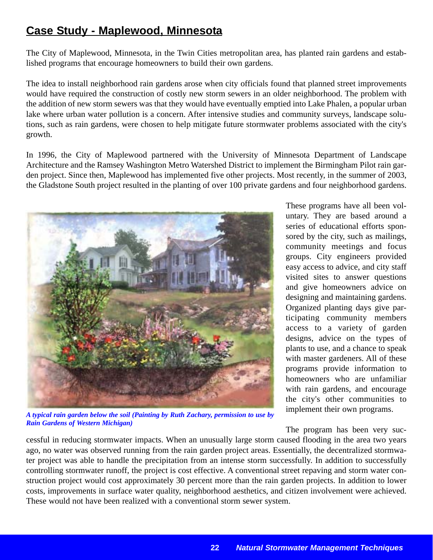## **Case Study - Maplewood, Minnesota**

The City of Maplewood, Minnesota, in the Twin Cities metropolitan area, has planted rain gardens and established programs that encourage homeowners to build their own gardens.

The idea to install neighborhood rain gardens arose when city officials found that planned street improvements would have required the construction of costly new storm sewers in an older neighborhood. The problem with the addition of new storm sewers was that they would have eventually emptied into Lake Phalen, a popular urban lake where urban water pollution is a concern. After intensive studies and community surveys, landscape solutions, such as rain gardens, were chosen to help mitigate future stormwater problems associated with the city's growth.

In 1996, the City of Maplewood partnered with the University of Minnesota Department of Landscape Architecture and the Ramsey Washington Metro Watershed District to implement the Birmingham Pilot rain garden project. Since then, Maplewood has implemented five other projects. Most recently, in the summer of 2003, the Gladstone South project resulted in the planting of over 100 private gardens and four neighborhood gardens.



*A typical rain garden below the soil (Painting by Ruth Zachary, permission to use by Rain Gardens of Western Michigan)*

These programs have all been voluntary. They are based around a series of educational efforts sponsored by the city, such as mailings, community meetings and focus groups. City engineers provided easy access to advice, and city staff visited sites to answer questions and give homeowners advice on designing and maintaining gardens. Organized planting days give participating community members access to a variety of garden designs, advice on the types of plants to use, and a chance to speak with master gardeners. All of these programs provide information to homeowners who are unfamiliar with rain gardens, and encourage the city's other communities to implement their own programs.

The program has been very suc-

cessful in reducing stormwater impacts. When an unusually large storm caused flooding in the area two years ago, no water was observed running from the rain garden project areas. Essentially, the decentralized stormwater project was able to handle the precipitation from an intense storm successfully. In addition to successfully controlling stormwater runoff, the project is cost effective. A conventional street repaving and storm water construction project would cost approximately 30 percent more than the rain garden projects. In addition to lower costs, improvements in surface water quality, neighborhood aesthetics, and citizen involvement were achieved. These would not have been realized with a conventional storm sewer system.